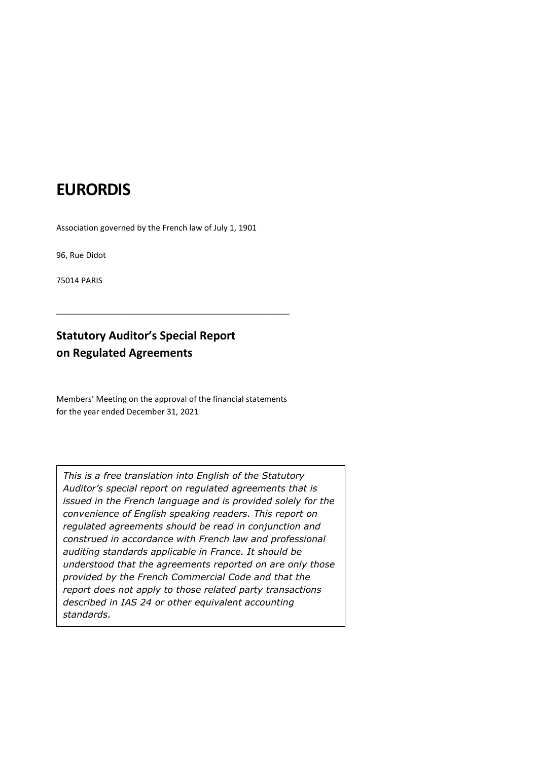## EURORDIS

Association governed by the French law of July 1, 1901

96, Rue Didot

75014 PARIS

## Statutory Auditor's Special Report on Regulated Agreements

Members' Meeting on the approval of the financial statements for the year ended December 31, 2021

\_\_\_\_\_\_\_\_\_\_\_\_\_\_\_\_\_\_\_\_\_\_\_\_\_\_\_\_\_\_\_\_\_\_\_\_\_

This is a free translation into English of the Statutory Auditor's special report on regulated agreements that is issued in the French language and is provided solely for the convenience of English speaking readers. This report on regulated agreements should be read in conjunction and construed in accordance with French law and professional auditing standards applicable in France. It should be understood that the agreements reported on are only those provided by the French Commercial Code and that the report does not apply to those related party transactions described in IAS 24 or other equivalent accounting standards.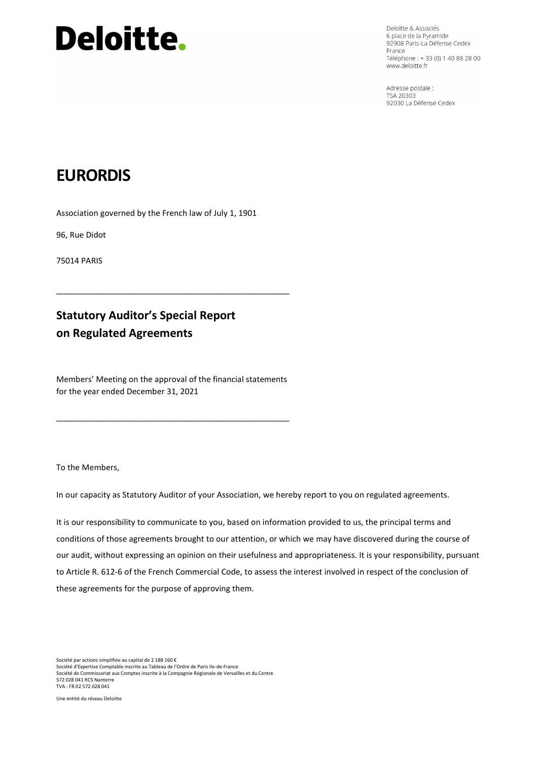# **Deloitte.**

Deloitte & Associés 6 place de la Pyramide 92908 Paris-La Défense Cedex France Téléphone : + 33 (0) 1 40 88 28 00 www.deloitte.fr

Adresse postale : TSA 20303 92030 La Défense Cedex

## EURORDIS

Association governed by the French law of July 1, 1901

96, Rue Didot

75014 PARIS

## Statutory Auditor's Special Report on Regulated Agreements

Members' Meeting on the approval of the financial statements for the year ended December 31, 2021

\_\_\_\_\_\_\_\_\_\_\_\_\_\_\_\_\_\_\_\_\_\_\_\_\_\_\_\_\_\_\_\_\_\_\_\_\_

\_\_\_\_\_\_\_\_\_\_\_\_\_\_\_\_\_\_\_\_\_\_\_\_\_\_\_\_\_\_\_\_\_\_\_\_\_

To the Members,

In our capacity as Statutory Auditor of your Association, we hereby report to you on regulated agreements.

It is our responsibility to communicate to you, based on information provided to us, the principal terms and conditions of those agreements brought to our attention, or which we may have discovered during the course of our audit, without expressing an opinion on their usefulness and appropriateness. It is your responsibility, pursuant to Article R. 612-6 of the French Commercial Code, to assess the interest involved in respect of the conclusion of these agreements for the purpose of approving them.

Société par actions simplifiée au capital de 2 188 160 € Société d'Expertise Comptable inscrite au Tableau de l'Ordre de Paris Ile-de-France Société de Commissariat aux Comptes inscrite à la Compagnie Régionale de Versailles et du Centre 572 028 041 RCS Nanterre TVA : FR 02 572 028 041

Une entité du réseau Deloitte